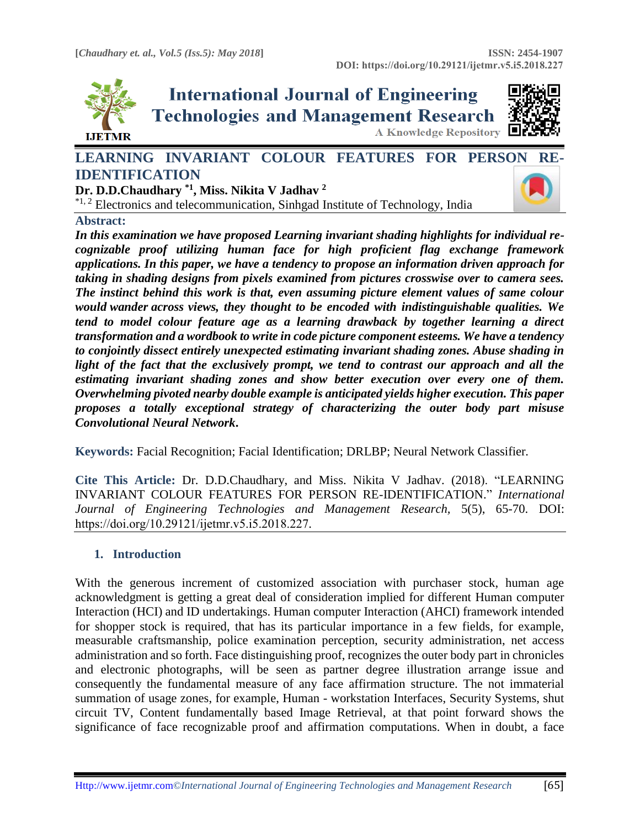

**International Journal of Engineering Technologies and Management Research** A Knowledge Repository



# LEARNING INVARIANT COLOUR FEATURES FOR PERS[ON RE-](https://crossmark.crossref.org/dialog/?doi=https://doi.org/10.29121/ijetmr.v5.i5.2018.227&domain=pdf&date_stamp=2018-05-31)**IDENTIFICATION**

**Dr. D.D.Chaudhary \*1 , Miss. Nikita V Jadhav <sup>2</sup>**  $*1, 2$  Electronics and telecommunication, Sinhgad Institute of Technology, India



# **Abstract:**

*In this examination we have proposed Learning invariant shading highlights for individual recognizable proof utilizing human face for high proficient flag exchange framework applications. In this paper, we have a tendency to propose an information driven approach for taking in shading designs from pixels examined from pictures crosswise over to camera sees. The instinct behind this work is that, even assuming picture element values of same colour would wander across views, they thought to be encoded with indistinguishable qualities. We tend to model colour feature age as a learning drawback by together learning a direct transformation and a wordbook to write in code picture component esteems. We have a tendency to conjointly dissect entirely unexpected estimating invariant shading zones. Abuse shading in light of the fact that the exclusively prompt, we tend to contrast our approach and all the estimating invariant shading zones and show better execution over every one of them. Overwhelming pivoted nearby double example is anticipated yields higher execution. This paper proposes a totally exceptional strategy of characterizing the outer body part misuse Convolutional Neural Network***.**

**Keywords:** Facial Recognition; Facial Identification; DRLBP; Neural Network Classifier*.* 

**Cite This Article:** Dr. D.D.Chaudhary, and Miss. Nikita V Jadhav. (2018). "LEARNING INVARIANT COLOUR FEATURES FOR PERSON RE-IDENTIFICATION." *International Journal of Engineering Technologies and Management Research,* 5(5), 65-70. DOI: https://doi.org/10.29121/ijetmr.v5.i5.2018.227.

# **1. Introduction**

With the generous increment of customized association with purchaser stock, human age acknowledgment is getting a great deal of consideration implied for different Human computer Interaction (HCI) and ID undertakings. Human computer Interaction (AHCI) framework intended for shopper stock is required, that has its particular importance in a few fields, for example, measurable craftsmanship, police examination perception, security administration, net access administration and so forth. Face distinguishing proof, recognizes the outer body part in chronicles and electronic photographs, will be seen as partner degree illustration arrange issue and consequently the fundamental measure of any face affirmation structure. The not immaterial summation of usage zones, for example, Human - workstation Interfaces, Security Systems, shut circuit TV, Content fundamentally based Image Retrieval, at that point forward shows the significance of face recognizable proof and affirmation computations. When in doubt, a face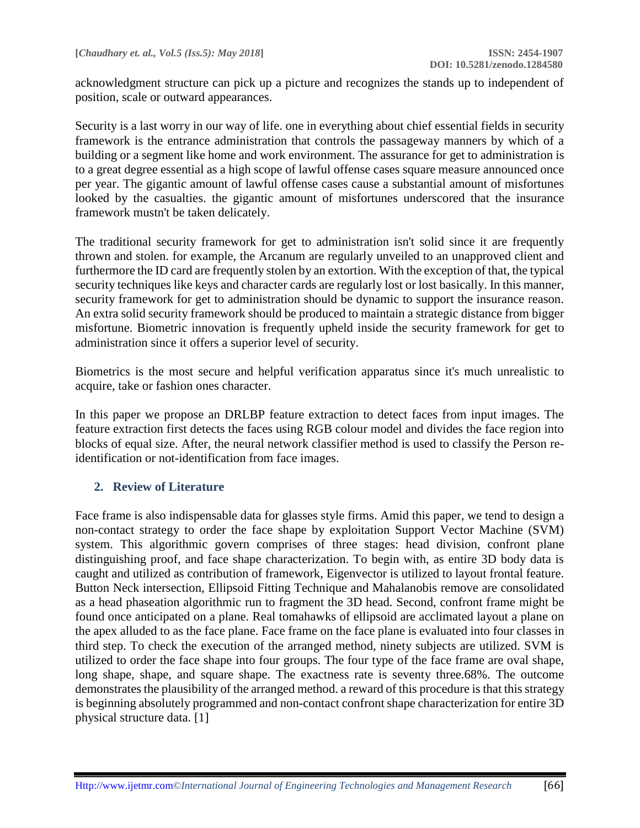acknowledgment structure can pick up a picture and recognizes the stands up to independent of position, scale or outward appearances.

Security is a last worry in our way of life. one in everything about chief essential fields in security framework is the entrance administration that controls the passageway manners by which of a building or a segment like home and work environment. The assurance for get to administration is to a great degree essential as a high scope of lawful offense cases square measure announced once per year. The gigantic amount of lawful offense cases cause a substantial amount of misfortunes looked by the casualties. the gigantic amount of misfortunes underscored that the insurance framework mustn't be taken delicately.

The traditional security framework for get to administration isn't solid since it are frequently thrown and stolen. for example, the Arcanum are regularly unveiled to an unapproved client and furthermore the ID card are frequently stolen by an extortion. With the exception of that, the typical security techniques like keys and character cards are regularly lost or lost basically. In this manner, security framework for get to administration should be dynamic to support the insurance reason. An extra solid security framework should be produced to maintain a strategic distance from bigger misfortune. Biometric innovation is frequently upheld inside the security framework for get to administration since it offers a superior level of security.

Biometrics is the most secure and helpful verification apparatus since it's much unrealistic to acquire, take or fashion ones character.

In this paper we propose an DRLBP feature extraction to detect faces from input images. The feature extraction first detects the faces using RGB colour model and divides the face region into blocks of equal size. After, the neural network classifier method is used to classify the Person reidentification or not-identification from face images.

# **2. Review of Literature**

Face frame is also indispensable data for glasses style firms. Amid this paper, we tend to design a non-contact strategy to order the face shape by exploitation Support Vector Machine (SVM) system. This algorithmic govern comprises of three stages: head division, confront plane distinguishing proof, and face shape characterization. To begin with, as entire 3D body data is caught and utilized as contribution of framework, Eigenvector is utilized to layout frontal feature. Button Neck intersection, Ellipsoid Fitting Technique and Mahalanobis remove are consolidated as a head phaseation algorithmic run to fragment the 3D head. Second, confront frame might be found once anticipated on a plane. Real tomahawks of ellipsoid are acclimated layout a plane on the apex alluded to as the face plane. Face frame on the face plane is evaluated into four classes in third step. To check the execution of the arranged method, ninety subjects are utilized. SVM is utilized to order the face shape into four groups. The four type of the face frame are oval shape, long shape, shape, and square shape. The exactness rate is seventy three.68%. The outcome demonstrates the plausibility of the arranged method. a reward of this procedure is that this strategy is beginning absolutely programmed and non-contact confront shape characterization for entire 3D physical structure data. [1]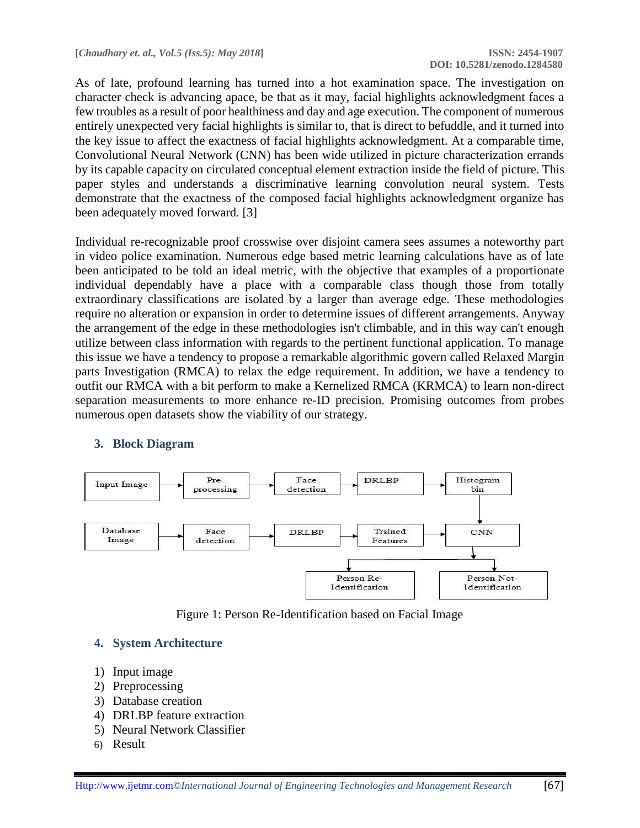As of late, profound learning has turned into a hot examination space. The investigation on character check is advancing apace, be that as it may, facial highlights acknowledgment faces a few troubles as a result of poor healthiness and day and age execution. The component of numerous entirely unexpected very facial highlights is similar to, that is direct to befuddle, and it turned into the key issue to affect the exactness of facial highlights acknowledgment. At a comparable time, Convolutional Neural Network (CNN) has been wide utilized in picture characterization errands by its capable capacity on circulated conceptual element extraction inside the field of picture. This paper styles and understands a discriminative learning convolution neural system. Tests demonstrate that the exactness of the composed facial highlights acknowledgment organize has been adequately moved forward. [3]

Individual re-recognizable proof crosswise over disjoint camera sees assumes a noteworthy part in video police examination. Numerous edge based metric learning calculations have as of late been anticipated to be told an ideal metric, with the objective that examples of a proportionate individual dependably have a place with a comparable class though those from totally extraordinary classifications are isolated by a larger than average edge. These methodologies require no alteration or expansion in order to determine issues of different arrangements. Anyway the arrangement of the edge in these methodologies isn't climbable, and in this way can't enough utilize between class information with regards to the pertinent functional application. To manage this issue we have a tendency to propose a remarkable algorithmic govern called Relaxed Margin parts Investigation (RMCA) to relax the edge requirement. In addition, we have a tendency to outfit our RMCA with a bit perform to make a Kernelized RMCA (KRMCA) to learn non-direct separation measurements to more enhance re-ID precision. Promising outcomes from probes numerous open datasets show the viability of our strategy.



# **3. Block Diagram**

Figure 1: Person Re-Identification based on Facial Image

#### **4. System Architecture**

- 1) Input image
- 2) Preprocessing
- 3) Database creation
- 4) DRLBP feature extraction
- 5) Neural Network Classifier
- 6) Result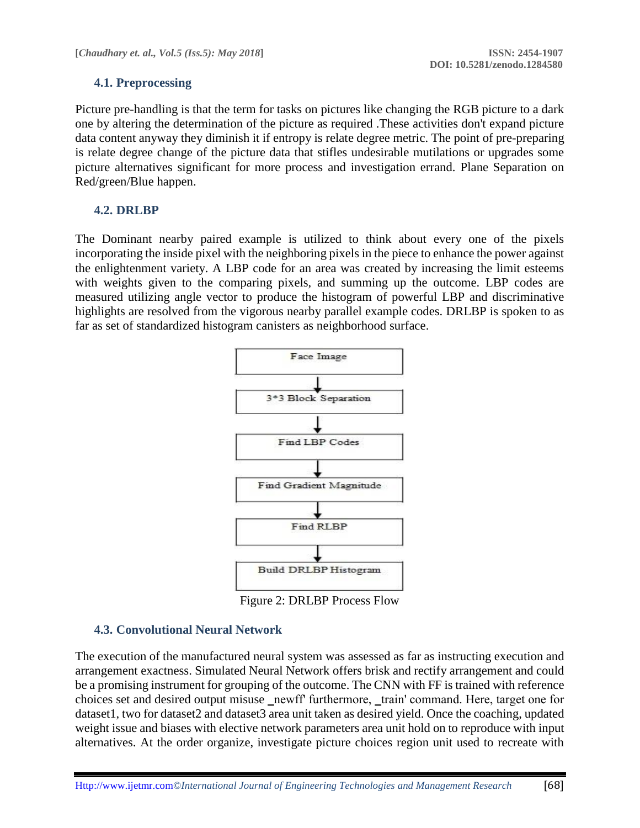# **4.1. Preprocessing**

Picture pre-handling is that the term for tasks on pictures like changing the RGB picture to a dark one by altering the determination of the picture as required .These activities don't expand picture data content anyway they diminish it if entropy is relate degree metric. The point of pre-preparing is relate degree change of the picture data that stifles undesirable mutilations or upgrades some picture alternatives significant for more process and investigation errand. Plane Separation on Red/green/Blue happen.

# **4.2. DRLBP**

The Dominant nearby paired example is utilized to think about every one of the pixels incorporating the inside pixel with the neighboring pixels in the piece to enhance the power against the enlightenment variety. A LBP code for an area was created by increasing the limit esteems with weights given to the comparing pixels, and summing up the outcome. LBP codes are measured utilizing angle vector to produce the histogram of powerful LBP and discriminative highlights are resolved from the vigorous nearby parallel example codes. DRLBP is spoken to as far as set of standardized histogram canisters as neighborhood surface.



Figure 2: DRLBP Process Flow

# **4.3. Convolutional Neural Network**

The execution of the manufactured neural system was assessed as far as instructing execution and arrangement exactness. Simulated Neural Network offers brisk and rectify arrangement and could be a promising instrument for grouping of the outcome. The CNN with FF is trained with reference choices set and desired output misuse newff furthermore, train' command. Here, target one for dataset1, two for dataset2 and dataset3 area unit taken as desired yield. Once the coaching, updated weight issue and biases with elective network parameters area unit hold on to reproduce with input alternatives. At the order organize, investigate picture choices region unit used to recreate with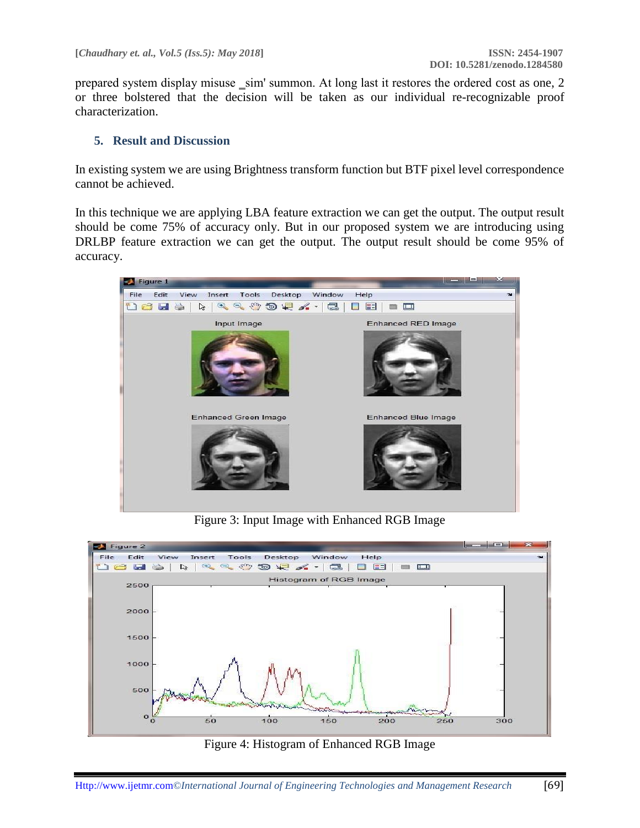prepared system display misuse \_sim' summon. At long last it restores the ordered cost as one, 2 or three bolstered that the decision will be taken as our individual re-recognizable proof characterization.

#### **5. Result and Discussion**

In existing system we are using Brightness transform function but BTF pixel level correspondence cannot be achieved.

In this technique we are applying LBA feature extraction we can get the output. The output result should be come 75% of accuracy only. But in our proposed system we are introducing using DRLBP feature extraction we can get the output. The output result should be come 95% of accuracy.



Figure 3: Input Image with Enhanced RGB Image